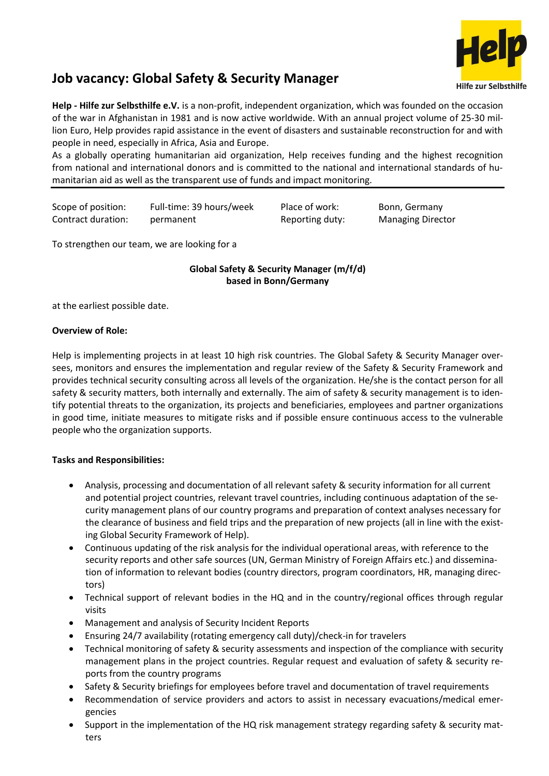

# **Job vacancy: Global Safety & Security Manager**

**Help - Hilfe zur Selbsthilfe e.V.** is a non-profit, independent organization, which was founded on the occasion of the war in Afghanistan in 1981 and is now active worldwide. With an annual project volume of 25-30 million Euro, Help provides rapid assistance in the event of disasters and sustainable reconstruction for and with people in need, especially in Africa, Asia and Europe.

As a globally operating humanitarian aid organization, Help receives funding and the highest recognition from national and international donors and is committed to the national and international standards of humanitarian aid as well as the transparent use of funds and impact monitoring.

Scope of position: Full-time: 39 hours/week Place of work: Bonn, Germany Contract duration: permanent Reporting duty: Managing Director

To strengthen our team, we are looking for a

# **Global Safety & Security Manager (m/f/d) based in Bonn/Germany**

at the earliest possible date.

### **Overview of Role:**

Help is implementing projects in at least 10 high risk countries. The Global Safety & Security Manager oversees, monitors and ensures the implementation and regular review of the Safety & Security Framework and provides technical security consulting across all levels of the organization. He/she is the contact person for all safety & security matters, both internally and externally. The aim of safety & security management is to identify potential threats to the organization, its projects and beneficiaries, employees and partner organizations in good time, initiate measures to mitigate risks and if possible ensure continuous access to the vulnerable people who the organization supports.

## **Tasks and Responsibilities:**

- Analysis, processing and documentation of all relevant safety & security information for all current and potential project countries, relevant travel countries, including continuous adaptation of the security management plans of our country programs and preparation of context analyses necessary for the clearance of business and field trips and the preparation of new projects (all in line with the existing Global Security Framework of Help).
- Continuous updating of the risk analysis for the individual operational areas, with reference to the security reports and other safe sources (UN, German Ministry of Foreign Affairs etc.) and dissemination of information to relevant bodies (country directors, program coordinators, HR, managing directors)
- Technical support of relevant bodies in the HQ and in the country/regional offices through regular visits
- Management and analysis of Security Incident Reports
- Ensuring 24/7 availability (rotating emergency call duty)/check-in for travelers
- Technical monitoring of safety & security assessments and inspection of the compliance with security management plans in the project countries. Regular request and evaluation of safety & security reports from the country programs
- Safety & Security briefings for employees before travel and documentation of travel requirements
- Recommendation of service providers and actors to assist in necessary evacuations/medical emergencies
- Support in the implementation of the HQ risk management strategy regarding safety & security matters